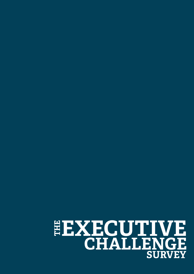## **THE EXECUTIVE CHALLENGE SURVEY**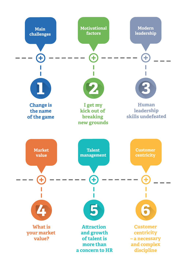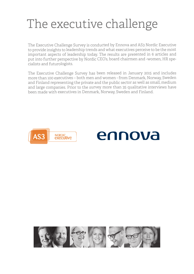## The executive challenge

The Executive Challenge Survey is conducted by Ennova and AS3 Nordic Executive to provide insights to leadership trends and what executives perceive to be the most important aspects of leadership today. The results are presented in 6 articles and put into further perspective by Nordic CEO's, board chairmen and -women, HR specialists and futurologists.

The Executive Challenge Survey has been released in January 2015 and includes more than 100 executives – both men and women - from Denmark, Norway, Sweden and Finland representing the private and the public sector as well as small, medium and large companies. Prior to the survey more than 35 qualitative interviews have been made with executives in Denmark, Norway, Sweden and Finland.





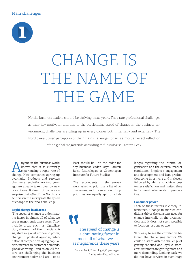#### Main challenges



## CHANGE IS THE NAME OF THE GAME

Nordic business leaders should be thriving these years. They rate professional challenges as their key motivator and due to the accelerating speed of change in the business environment; challenges are piling up in every corner both internally and externally. The Nordic executives' perception of their main challenges today is almost an exact reflection of the global megatrends according to futurologist Carsten Beck.

A nyone in the business world<br>knows that it is currently<br>experiencing a rapid rate of knows that it is currently experiencing a rapid rate of change. New companies spring up overnight. Products and services that were revolutionary two years ago are already taken over by new revolutions. It does not come as a surprise that 48% of the Nordic executives in the survey rate the speed of change as their no. 1 challenge.

#### **Rapid change in all areas**

"The speed of change is a dominating factor in almost all of what we see as megatrends these years. They include areas such as digitalisation, aftermath of the financial crisis, shift in global economic power, change in political agendas, international competition, aging population, increase in customer demands, global warming – and so on. All factors are challenging the business environment today and are – or at

least should be - on the radar for any business leader," says Carsten Beck, futurologist at Copenhagen Institute for Future Studies.

The respondents in the survey were asked to prioritise a list of 20 challenges, and the selection of top priorities are equally split on chal-





#### The speed of change is a dominating factor in almost all of what we see as megatrends these years

Carsten Beck, Futurologist, Copenhagen Institute for Future Studies lenges regarding the internal organisation and the external market conditions. Employee engagement and development and lean production come in as no. 2 and 3, closely followed by ability to achieve customer satisfaction and limited time to focus on the longer-term perspective.

#### **Consumer power**

Each of these factors is closely intertwined. Change in market conditions drives the constant need for change internally in the organisation, and it does not seem possible to focus on just one or two.

"It is easy to see the correlation between the challenging factors. We could i.e. start with the challenge of getting satisfied and loyal customers: Customers are getting more and more demanding. Looking back, we did not have services in such huge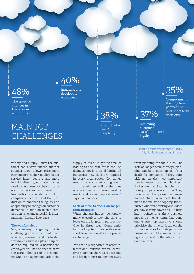### 48%

The speed of changes in the business environment

### MAIN JOB CHALLENGES

supply of talent is getting smaller leading to the "war for talent". As digitalisation is a trend hitting all industries, new skills are required in every organisation. Companies need to be good at attracting talent, and the winners will be the ones who are great at offering development and career opportunities," says Carsten Beck.

#### **Lack of time to focus on longerterm strategies**

When changes happen so rapidly, many executives lack the time to focus on the long-term perspective. One in three sees "Compromising the long term perspective over short term decisions" as the primary challenge.

"We see this supported in other international surveys where executives state that short term decisions and fire fighting is taking time away 37% the long term perspective over short term decisions

Compromising

Achieving customer satisfaction and loyalty

#### SOURCE: THE EXECUTIVE SURVEY AS3 Nordic Executive and Ennova

from planning for the future. The lack of longer term strategy planning can be a question of life or death for companies if they don't pick up on the most important trends impacting their business. Earlier we had local butcher and bakery shops on every corner. They have now disappeared as super market chains now meet the demand for one-stop shopping. Blockbuster who were renting out videos are now closing down and - a little late - reinventing their business model, as movie rental has gone online. Any top executive should prioritise the time to focus on the future scenarios for their particular business – it could spare many from ugly surprises," is the advice from Carsten Beck.

variety and supply. Today the customer can always choose another supplier to get a lower price, more convenience, higher quality, better service, faster delivery and more individualised goods. Companies need to get closer to their costumers to understand and develop in line with customer demands. And companies need fast and lean production to enhance the agility and adaptability to changes in customer demands. In addition to this, competition is no longer local. It is international," Carsten Beck says.

#### **The war for talent**

"Any company navigating in this challenging environment will need a skilled, engaged, and motivated workforce which is agile and up-todate on required skills, because the employees will be the ones to drive the actual changes of the company. Due to an aging population, the

Engaging and Engaging and  $\overline{a}$   $\overline{a}$   $\overline{a}$   $\overline{a}$   $\overline{a}$   $\overline{a}$   $\overline{a}$   $\overline{a}$   $\overline{a}$   $\overline{a}$   $\overline{a}$   $\overline{a}$   $\overline{a}$   $\overline{a}$   $\overline{a}$   $\overline{a}$   $\overline{a}$   $\overline{a}$   $\overline{a}$   $\overline{a}$   $\overline{a}$   $\overline{a}$   $\overline{a}$  40%

employees

38%

Productivity/ Lean/ Simplicity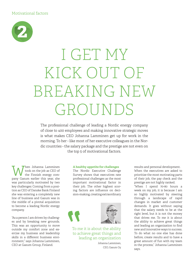

# I GET MY KICK OUT OF BREAKING NEW GROUNDS

The professional challenge of leading a Nordic energy company of close to 400 employees and making innovative strategic moves is what makes CEO Johanna Lamminen get up for work in the morning. To her - like most of her executive colleagues in the Nordic countries - the salary package and the prestige are not even on the top 5 of motivational factors.

When Johanna Lamminen<br>the Finnish energy com-<br>nany Gasum earlier this way sho took on the job as CEO of pany Gasum earlier this year, she was particularly motivated by two key challenges: Coming from a position as CEO of Danske Bank Finland she was entering a completely new line of business and Gasum was in the middle of a pivotal acquisition to become a leading Nordic energy company.

"As a person I am driven by challenges and by breaking new grounds. This was an opportunity to move outside my comfort zone and exercise my business and leadership skills in a different business environment," says Johanna Lamminen, CEO at Gasum Group, Finland.

#### **A healthy appetite for challenges**

The Nordic Executive Challenge Survey shows that executives rate professional challenges as the most important motivational factor in their job. The other highest scoring factors are influence on decision-making, creating extraordinary





To me it is about the ability to achieve great things and leading an organization

Johanna Lamminen, CEO, Gasum Oy

results and personal development. When the executives are asked to prioritize the most motivating parts of their job, the pay check and the prestige are not highly ranked.

"When I spend 70-80 hours a week on my job, it is because I am so highly motivated by steering through a landscape of rapid changes in market and customer demands. It goes without saying that the salary needs to be at the right level, but it is not the money that drives me. To me it is about the ability to achieve great things and leading an organization to find new and innovative ways to success. To do what no one else has done before, create results and to have a great amount of fun with my team in the process," Johanna Lamminen says.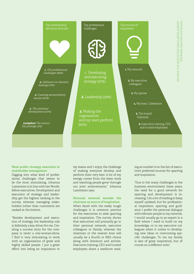

#### **Most prefer strategy execution to stakeholder management**

Digging into what kind of professional challenges that seems to be the most stimulating, Johanna Lamminen is in line with her Nordic fellow executives. Development and execution of strategy and leadership get the highest ranking in the survey, whereas managing stakeholders (other than customers) are ranked at the bottom.

"Besides development and execution of strategy, the leadership role is definitely a key driver for me. Creating a success story for the company is never a one-woman-show. I find it very stimulating to work with an organization of great and highly skilled people. I put a great effort into being an inspiration to

my teams and I enjoy the challenge of making everyone develop and perform their very best. A lot of my energy comes from the team work and watching people grow through our joint achievements," Johanna Lamminen says.

#### **Personal network exceeds the chairman as source of inspiration**

When faced with the really tough challenges it is common practice for the executives to seek sparring and inspiration. The survey shows that executives will primarily go to their personal network, executive colleagues or family, whereas the chairman or the nearest boss will usually be a fourth or fifth choice along with literature and articles. Executive training, CEO and trusted employees share a mediocre ranking as number 6 on the list of executive's preferred sources for sparring and inspiration.

"Due to the many challenges in the business environment these years, the need for a good network for sparring and development is increasing. I do a lot of reading to keep myself updated, but for professional inspiration, sparring and guidance I prefer the personal dialogue with relevant people in my network. I would usually go to an expert in a field where I need to build on my knowledge, or to my executive colleagues when it comes to developing new ideas or overcoming specific challenges. To me my family is also of great inspiration, but of course on a different note."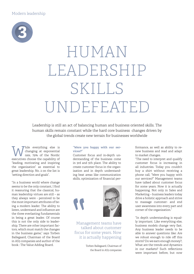

# HUMAN LEADERSHIP SKILLS UNDEFEATED

Leadership is still an act of balancing human and business oriented skills. The human skills remain constant while the hard core business changes driven by the global trends create new terrain for businesses worldwide

While everything else is<br>
rate, 79% of the Nordic<br>
executives choose the capability of changing at exponential rate, 79% of the Nordic executives choose the capability of "leading, motivating and inspiring the organisation" as essential to great leadership. No. 2 on the list is "setting direction and goals".

"In a business world where change seems to be the only constant, I find it reassuring that the classical, human leadership virtues are still – as they always were - perceived to be the most important attributes of being a modern leader. The ability to listen, understand and influence are the three everlasting fundamentals in being a great leader. Of course this is not the only side to leadership. There are other important factors, which must match the changes in the business game," says Torben Ballegaard, Chairman of the Board in AS3 companies and author of the book : The Value Adding Board.

#### **"Were you happy with our services?"**

Customer focus and in-depth understanding of the business come in 3rd and 5th place. The ability to create customer focus in the organization and in depth understanding beat areas like communication skills, optimization of financial per-



Management teams have talked about customer focus for some years. Now it is actually happening

> Torben Ballegaard, Chairman of the Board in AS3 companies

formance, as well as ability to renew business and read and adapt to market changes.

"The need to interpret and qualify customer focus is increasing in all industries. Today you couldn't buy a shirt without receiving a phone call, "Were you happy with our services?" Management teams have talked about customer focus for some years. Now it is actually happening. Not only in Sales and Marketing – business leaders today drive a holistic approach and strive to massage customer- and end user awareness into every part and corner of the organization."

"In depth understanding is equally important. Like everything else, business models change very fast. Any business leader needs to be able to answer questions like: Are we robust enough to ride off this storm? Do we earn enough money?, What are the trends and dynamics in our markets? Such reflections were important before, but now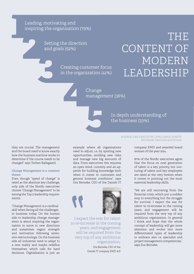Leading, motivating and inspiring the organisation (79%)

> Setting the direction and goals (52%)

> > Creating customer focus in the organization (41%)

### THE CONTENT OF MODERN LEADERSHIP

Change management (36%)

they are crucial. The management and the board need to know exactly how the business machine works to determine if the course needs to be changed" says Torben Ballegaard.

#### **Change Management is a common theme**

Even though "speed of change" is rated as the absolute key challenge, only 33% of the Nordic executives choose "Change Management" to be among the Top 5 leadership requirements.

"Change Management is a cardinal skill when facing all the challenges in business today. On the human side to leadership change management is about inspiring the organisation to move in new directions and sometimes regain strength and motivation following extensive restructurings. On the business side all industries need to adapt to a new reality and maybe redefine themselves, which calls for hard decisions. Digitalisation is just an example where all organisations need to adjust, i.e. by spotting new opportunities, avoiding new risks and manage new big amounts of data. From executives this requires an open mind, curiosity and an appetite for building knowledge both when it comes to customers and general business conditions", says Eva Berneke, CEO of the Danish IT



I expect the war for talent to re-increase in the coming years, and engagement will be required from the very top of any ambitious organization.

> Eva Berneke, CEO of the Danish IT company KMD A/S

SOURCE: THE EXECUTIVE CHALLENGE SURVEY AS3 Nordic Executive and Ennova

In depth understanding of

the business (33%)

company KMD and awarded board woman of the year 2014.

87% of the Nordic executives agree that the focus on next generation of talent is a key priority, but nurturing of talent and key employees are rated at the very bottom when it comes to pointing out the most essential leadership skills.

"We are still recovering from the financial crisis, which put a sudden stop to everything but the struggle for survival. I expect the war for talent to re-increase in the coming years, and engagement will be required from the very top of any ambitious organization. In general I think and hope that the whole concept of leadership will get more attention and evolve into more differentiated types of leadership to embrace also i.e. specialist and project management competencies," says Eva Berneke.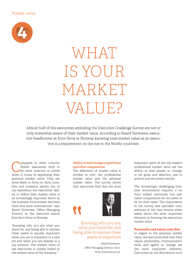#### Market value



# WHAT IS YOUR MARKET VALUE?

Almost half of the executives attending the Executive Challenge Survey are not or only somewhat aware of their market value. According to Baard Storsveen, executive headhunter at Korn Ferry in Norway, knowing ones market value as an executive is a requirement on the rise in the Nordic countries.

ompared to other cultures. Nordic executives tend to be more reserved or subtle when it comes to expressing their personal market value. They are more likely to focus on facts, numbers and company results, but in my experience the executives' ability to define their market value is an increasingly important factor as the business environment becomes more and more international," says Baard Storsveen, Office Managing Director at the executive search firm Korn Ferry in Norway.

"Knowing who you are, what you stand for, and being able to express these assets is equally important when you are in transition to a new job and when you are already in a top position. The market value of top executives is closely linked to the market value of the company."

#### **Ability to lead change outperforms specialist competences**

The definition of market value is divided in two: the professional market value and the personal market value. The survey shows that executives find that the most





#### Knowing who you are, what you stand for, and being able to express these assets is important

Baard Storsveen, Office Managing Director, Korn Ferry International AS

important parts of the top leader's professional market value are the ability to lead people in change, to set goals and direction, and to achieve and document results.

The increasingly challenging business environment requires a lot from today's executives but specialist competences do not seem to be on their radar. The respondents in the survey rate specialist competences at the very bottom when asked about the most important elements in forming the executive's market value.

#### **Personality and values come first**

In regard to the personal market value, the executives find that their values, personality, communication skills and agility to change are the most important elements. Executives do not find factors such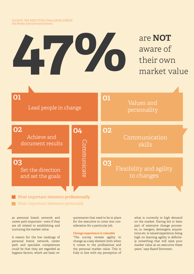

Most important elements personally

as personal brand, network and career path important - even if they are all related to establishing and nurturing the market value.

A reason for the low rankings of personal brand, network, career path and specialist competences could be that they are regarded as hygiene factors, which are basic requirements that need to be in place for the executive to come into consideration for a particular job.

#### **Change experience is valuable**

"The survey reveals agility to change as a key element both when it comes to the professional and the personal market value. This is fully in line with my perception of

what is currently in high demand on the market. Having led or been part of extensive change processes, i.e. mergers, demergers, acquisitions etc. is valued experience, being high on learning agility is definitely something that will raise your market value as an executive these years," says Baard Storsveen.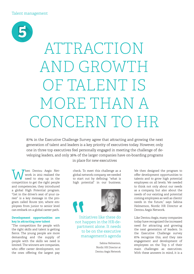

# ATTRACTION AND GROWTH OF TALENT IS MORE THAN A CONCERN TO HR

87% in the Executive Challenge Survey agree that attracting and growing the next generation of talent and leaders is a key priority of executives today. However, only one in three top executives feel personally engaged in meeting the challenge of developing leaders, and only 36% of the larger companies have on-boarding programs

When Dentsu Aegis Net-<br>
need to step up in the<br>
compatition to get the right poople work in 2012 realised the competition to get the right people and competencies, they introduced a global High Potential program. "Get in the driver's seat of your career" is a key message in the program called Route 500, where employees from junior to senior level can embark on a global career path.

#### **Development opportunities are key in attracting new talent**

"The competition for people with the right skills and talent is getting fierce. The young people are more demanding and the supply of people with the skills we need is limited. The winners are companies, who offer career development, not the ones offering the largest pay

in place for new executives

check. To meet this challenge as a global network company, we needed to start out by defining: "what is high potential" in our business.



Initiatives like these do not happen in the HR-department alone. It needs to be on the executive management's agenda

> Sabina Helmerson, Nordic HR Director at Dentsu Aegis Network

We then designed the program to offer development opportunities to talents and to grow high potential employees on all levels. We needed to think not only about our needs as a company, but also about the needs of our existing and potential coming employees as well as clients' needs in the future," says Sabina Helmerson, Nordic HR Director at Dentsu Aegis Network.

Like Dentsu Aegis, many companies today have recognized the increased need for attracting and growing the next generation of leaders. In the Executive Challenge survey 87% recognize this, and they rate engagement and development of employees on the Top 5 of their main challenges as executives. With these answers in mind, it is a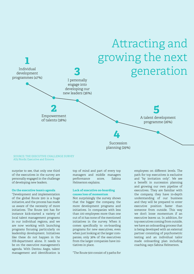

SOURCE: THE EXECUTIVE CHALLENGE SURVEY AS3 Nordic Executive and Ennova

surprise to see, that only one third of the executives in the survey are personally engaged in the challenge of developing new leaders.

#### **On the executive team's agenda**

"Development and implementation of the global Route 500 is a huge initiative, and the process has made us aware of the necessity of more initiatives. The Route 500 has for instance kick-started a variety of local talent management programs in our individual regions, and we are now working with launching programs focusing particularly on leadership development. Initiatives like these do not happen in the HR-department alone. It needs to be on the executive management's agenda. With Dentsu Aegis, talent management and identification is

top of mind and part of every top managers and middle managers performance score, Sabina Helmerson explains.

#### **Lack of executive on-boarding causes loss of momentum**

Not surprisingly the survey shows that the bigger the company, the more development programs and initiatives. In companies with less than 100 employees more than one out of 10 has none of the mentioned initiatives in the survey. When it comes specifically to on-boarding programs for new executives, even when just looking at the larger companies, only 36% of the executives from the larger companies have initiatives in place.

"The Route 500 consist of 3 paths for

employees on different levels. The path for top executives is exclusive and "by invitation only". We see a benefit in succession planning and growing our own pipeline of executives. They are familiar with the company, they have in-depth understanding of our business and they will be prepared to enter executive position faster than someone from outside. This way we don't loose momentum if an executive leaves us. In addition, for top executives coming from outside, we have an onboarding process that is being developed with an external partner consisting of psychometric testing and an individual tailor made onboarding plan including coaching, says Sabina Helmerson.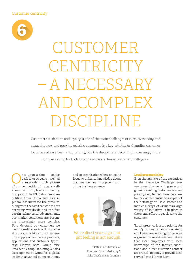

# CUSTOMER **CENTRICITY** – A NECESSARY AND COMPLEX DISCIPLINE

Customer satisfaction and loyalty is one of the main challenges of executives today, and attracting new and growing existing customers is a key priority. At Grundfos customer focus has always been a top priority, but the discipline is becoming increasingly more complex calling for both local presence and heavy customer intelligence.

The upon a time – looking<br>a relatively simple picture<br>of our compotition It was a wellback 10 or 20 years – we had a relatively simple picture of our competition. It was a wellknown raft of players in mainly Europe and the US. Today new competition from China and Asia in general has increased the pressure. Along with the fact that we are now operating worldwide and the fast pace in technological advancements, our market conditions are becoming increasingly more complex. To understand our customers we need more differentiated knowledge about aspects like culture, geography, supply of competing products, applications and customer types," says Morten Bach, Group Vice President, Group Marketing & Sales Development at Grundfos, a global leader in advanced pump solutions,

and an organisation where on-going focus to enhance knowledge about customer demands is a pivotal part of the business strategy.



#### We realised years ago that gut feeling is not enough

Morten Bach, Group Vice President, Group Marketing & Sales Development, Grundfos

#### **Local presence is key**

Even though 95% of the executives in the Executive Challenge Survey agree that attracting new and growing existing customers is a key priority, only half of them have customer-oriented initiatives as part of their strategy or use customer and market surveys. At Grundfos a large variety of initiatives is in place in the overall effort to get closer to the customer.

"Local presence is a top priority for us. 1/3 of our organisation, 6,000 employees are working in the sales organisation worldwide. We believe that local employees with local knowledge of the market conditions and direct customer contact are crucial - not only to provide local service," says Morten Bach.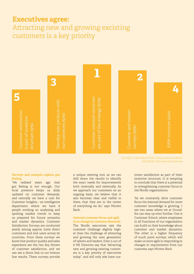### **Executives agree:**

Attracting new and growing excisting customers is a key priority



SOURCE: THE EXECUTIVE CHALLENGE SURVEY AS3 Nordic Executive and Ennova

#### **Surveys and analysis replace gut feeling**

"We realised years ago that gut feeling is not enough. Our local presence keeps us daily updated on customer demands, and centrally we have a unit for Customer Insights, - an intelligence department where we have 8 people working on analysing and spotting market trends to keep us prepared for future scenarios and market dynamics. Customer Satisfaction Surveys are conducted yearly among approx. 6,000 direct customers and end users across 60 countries. From these surveys we know that product quality and sales experience are the two key drivers of customer satisfaction, and we can see a direct link to our bottom line results. These surveys provide

a unique steering tool, as we can drill down the results to identify the exact needs for improvements both internally and externally. As we approach our customers on an ongoing basis, we believe that it also becomes clear and visible to them, that they are in the center of everything we do," says Morten Bach.

#### **Internal customer focus and agility to change in customer demands**

The Nordic executives rate the customer challenge slightly higher than the challenge of attracting and growing the next generation of talents and leaders. Even 5 out of 6 HR Directors say, that "attracting new and growing existing customers is a key priority of executives today", and still only 25% have cus-

tomer satisfaction as part of their incentive structure. It is tempting to conclude that there is a potential in strengthening customer focus in the Nordic organisations.

"As we constantly drive customer focus the internal demand for more customer knowledge is growing. I see two areas where we at Grundfos can step up even further. One is Customer School, where employees in all functions of our organisation can build on their knowledge about customer and market dynamics. The other is a higher frequency of touch point surveys, which will make us more agile in responding to changes in requirements from our customer, says Morten Bach.